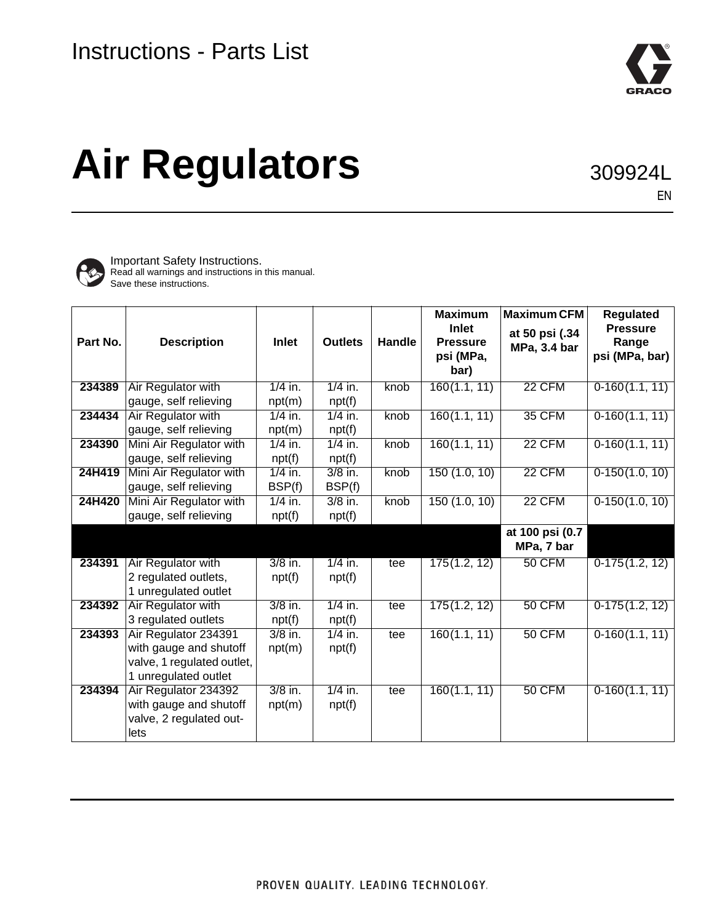

# **Air Regulators**

309924L

EN



Important Safety Instructions. Read all warnings and instructions in this manual. Save these instructions.

| Part No. | <b>Description</b>                                                                                   | <b>Inlet</b>        | <b>Outlets</b>      | <b>Handle</b> | <b>Maximum</b><br><b>Inlet</b><br><b>Pressure</b><br>psi (MPa, | <b>Maximum CFM</b><br>at 50 psi (.34<br>MPa, 3.4 bar | <b>Regulated</b><br><b>Pressure</b><br>Range<br>psi (MPa, bar) |
|----------|------------------------------------------------------------------------------------------------------|---------------------|---------------------|---------------|----------------------------------------------------------------|------------------------------------------------------|----------------------------------------------------------------|
|          |                                                                                                      |                     |                     |               | bar)                                                           |                                                      |                                                                |
| 234389   | Air Regulator with<br>gauge, self relieving                                                          | $1/4$ in.<br>npt(m) | $1/4$ in.<br>npt(f) | knob          | 160(1.1, 11)                                                   | <b>22 CFM</b>                                        | $0-160(1.1, 11)$                                               |
| 234434   | Air Regulator with<br>gauge, self relieving                                                          | $1/4$ in.<br>npt(m) | $1/4$ in.<br>npt(f) | knob          | 160(1.1, 11)                                                   | <b>35 CFM</b>                                        | $0-160(1.1, 11)$                                               |
| 234390   | Mini Air Regulator with<br>gauge, self relieving                                                     | $1/4$ in.<br>npt(f) | $1/4$ in.<br>npt(f) | knob          | 160(1.1, 11)                                                   | 22 CFM                                               | $0-160(1.1, 11)$                                               |
| 24H419   | Mini Air Regulator with<br>gauge, self relieving                                                     | $1/4$ in.<br>BSP(f) | $3/8$ in.<br>BSP(f) | knob          | 150(1.0, 10)                                                   | 22 CFM                                               | $0-150(1.0, 10)$                                               |
| 24H420   | Mini Air Regulator with<br>gauge, self relieving                                                     | $1/4$ in.<br>npt(f) | $3/8$ in.<br>npt(f) | knob          | 150(1.0, 10)                                                   | <b>22 CFM</b>                                        | $0-150(1.0, 10)$                                               |
|          |                                                                                                      |                     |                     |               |                                                                | at 100 psi (0.7<br>MPa, 7 bar                        |                                                                |
| 234391   | Air Regulator with<br>2 regulated outlets,<br>1 unregulated outlet                                   | $3/8$ in.<br>npt(f) | $1/4$ in.<br>npt(f) | tee           | 175(1.2, 12)                                                   | 50 CFM                                               | $0-175(1.2, 12)$                                               |
| 234392   | Air Regulator with<br>3 regulated outlets                                                            | $3/8$ in.<br>npt(f) | $1/4$ in.<br>npt(f) | tee           | 175(1.2, 12)                                                   | <b>50 CFM</b>                                        | $0-175(1.2, 12)$                                               |
| 234393   | Air Regulator 234391<br>with gauge and shutoff<br>valve, 1 regulated outlet,<br>1 unregulated outlet | $3/8$ in.<br>npt(m) | $1/4$ in.<br>npt(f) | tee           | 160(1.1, 11)                                                   | <b>50 CFM</b>                                        | $0-160(1.1, 11)$                                               |
| 234394   | Air Regulator 234392<br>with gauge and shutoff<br>valve, 2 regulated out-<br>lets                    | $3/8$ in.<br>npt(m) | $1/4$ in.<br>npt(f) | tee           | 160(1.1, 11)                                                   | 50 CFM                                               | $0-160(1.1, 11)$                                               |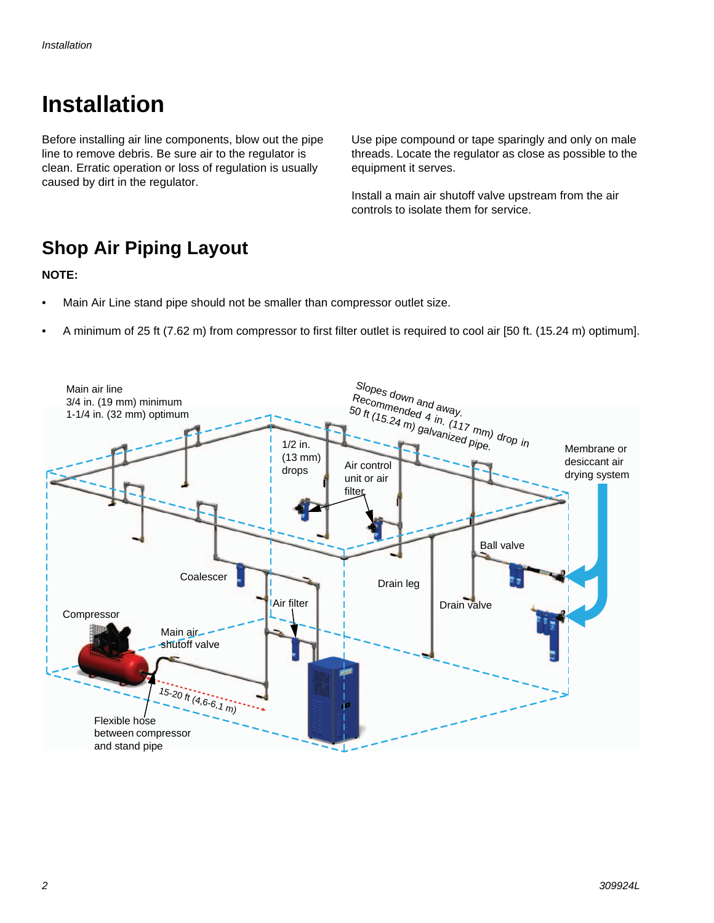# **Installation**

Before installing air line components, blow out the pipe line to remove debris. Be sure air to the regulator is clean. Erratic operation or loss of regulation is usually caused by dirt in the regulator.

Use pipe compound or tape sparingly and only on male threads. Locate the regulator as close as possible to the equipment it serves.

Install a main air shutoff valve upstream from the air controls to isolate them for service.

#### **Shop Air Piping Layout**

#### **NOTE:**

- Main Air Line stand pipe should not be smaller than compressor outlet size.
- A minimum of 25 ft (7.62 m) from compressor to first filter outlet is required to cool air [50 ft. (15.24 m) optimum].

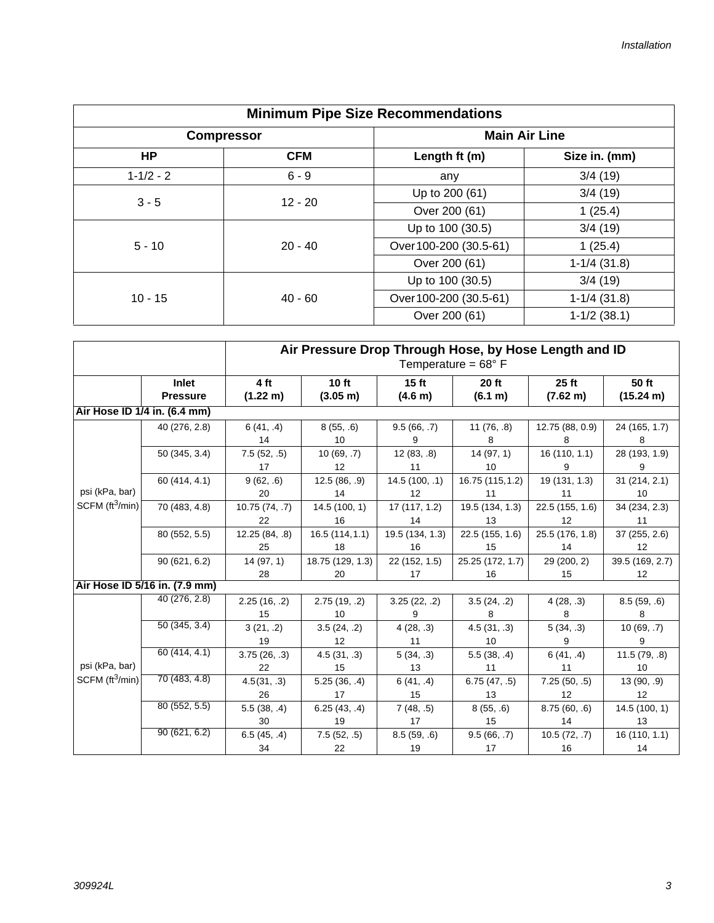| <b>Minimum Pipe Size Recommendations</b> |                        |                                                                                                  |                      |         |  |  |
|------------------------------------------|------------------------|--------------------------------------------------------------------------------------------------|----------------------|---------|--|--|
| <b>Compressor</b>                        |                        |                                                                                                  | <b>Main Air Line</b> |         |  |  |
| <b>HP</b>                                | <b>CFM</b>             | Length ft (m)                                                                                    | Size in. (mm)        |         |  |  |
| $1 - 1/2 - 2$                            | $6 - 9$                | any                                                                                              | 3/4(19)              |         |  |  |
| $3 - 5$                                  |                        | Up to 200 (61)                                                                                   | 3/4(19)              |         |  |  |
|                                          |                        | Over 200 (61)<br>Up to 100 (30.5)<br>Over 100-200 (30.5-61)<br>Over 200 (61)<br>Up to 100 (30.5) | 1(25.4)              |         |  |  |
|                                          |                        |                                                                                                  | 3/4(19)              |         |  |  |
| $5 - 10$                                 | $12 - 20$<br>$20 - 40$ |                                                                                                  |                      | 1(25.4) |  |  |
|                                          |                        |                                                                                                  | $1-1/4$ (31.8)       |         |  |  |
|                                          |                        |                                                                                                  | 3/4(19)              |         |  |  |
| $10 - 15$                                | $40 - 60$              | Over 100-200 (30.5-61)                                                                           | $1-1/4$ (31.8)       |         |  |  |
|                                          |                        | Over 200 (61)                                                                                    | $1-1/2$ (38.1)       |         |  |  |

|                              |                                 | Air Pressure Drop Through Hose, by Hose Length and ID<br>Temperature = $68^{\circ}$ F |                             |                             |                         |                       |                                    |  |
|------------------------------|---------------------------------|---------------------------------------------------------------------------------------|-----------------------------|-----------------------------|-------------------------|-----------------------|------------------------------------|--|
|                              | <b>Inlet</b><br><b>Pressure</b> | 4 ft<br>$(1.22 \text{ m})$                                                            | 10 ft<br>$(3.05 \text{ m})$ | 15 <sub>ft</sub><br>(4.6 m) | <b>20 ft</b><br>(6.1 m) | $25$ ft<br>(7.62 m)   | 50 ft<br>(15.24 m)                 |  |
| Air Hose ID 1/4 in. (6.4 mm) |                                 |                                                                                       |                             |                             |                         |                       |                                    |  |
|                              | 40 (276, 2.8)                   | 6(41, .4)<br>14                                                                       | 8(55, .6)<br>10             | 9.5(66, .7)<br>9            | 11(76, .8)<br>8         | 12.75 (88, 0.9)<br>8  | 24 (165, 1.7)<br>8                 |  |
|                              | 50 (345, 3.4)                   | 7.5(52, .5)<br>17                                                                     | 10(69, .7)<br>12            | 12(83, .8)<br>11            | 14(97, 1)<br>10         | 16 (110, 1.1)<br>9    | 28 (193, 1.9)<br>9                 |  |
| psi (kPa, bar)               | 60 (414, 4.1)                   | 9(62, .6)<br>20                                                                       | 12.5(86, .9)<br>14          | 14.5 (100, .1)<br>12        | 16.75 (115, 1.2)<br>11  | 19 (131, 1.3)<br>11   | 31 (214, 2.1)<br>10                |  |
| SCFM $(tt^3/min)$            | 70 (483, 4.8)                   | 10.75 (74, .7)<br>22                                                                  | 14.5(100, 1)<br>16          | 17 (117, 1.2)<br>14         | 19.5 (134, 1.3)<br>13   | 22.5 (155, 1.6)<br>12 | 34 (234, 2.3)<br>11                |  |
|                              | 80 (552, 5.5)                   | 12.25 (84, .8)<br>25                                                                  | 16.5(114, 1.1)<br>18        | 19.5 (134, 1.3)<br>16       | 22.5 (155, 1.6)<br>15   | 25.5 (176, 1.8)<br>14 | 37 (255, 2.6)<br>12                |  |
|                              | 90(621, 6.2)                    | 14(97, 1)<br>28                                                                       | 18.75 (129, 1.3)<br>20      | 22 (152, 1.5)<br>17         | 25.25 (172, 1.7)<br>16  | 29 (200, 2)<br>15     | 39.5 (169, 2.7)<br>12 <sup>°</sup> |  |
|                              | Air Hose ID 5/16 in. (7.9 mm)   |                                                                                       |                             |                             |                         |                       |                                    |  |
|                              | 40 (276, 2.8)                   | 2.25(16, .2)<br>15                                                                    | 2.75(19, .2)<br>10          | 3.25(22, .2)<br>9           | 3.5(24, .2)<br>8        | 4(28, .3)<br>8        | 8.5(59, .6)<br>8                   |  |
|                              | 50(345, 3.4)                    | 3(21, .2)<br>19                                                                       | 3.5(24, .2)<br>12           | 4(28, .3)<br>11             | 4.5(31, .3)<br>10       | 5(34, .3)<br>9        | 10(69, .7)<br>9                    |  |
| psi (kPa, bar)               | 60 (414, 4.1)                   | 3.75(26, .3)<br>22                                                                    | 4.5(31, .3)<br>15           | 5(34, .3)<br>13             | 5.5(38, .4)<br>11       | 6(41, .4)<br>11       | 11.5(79, .8)<br>10 <sup>1</sup>    |  |
| SCFM $(tt^3/min)$            | 70 (483, 4.8)                   | 4.5(31, .3)<br>26                                                                     | 5.25(36, .4)<br>17          | 6(41, .4)<br>15             | 6.75(47, .5)<br>13      | 7.25(50, .5)<br>12    | 13 (90, .9)<br>12                  |  |
|                              | 80 (552, 5.5)                   | 5.5(38, .4)<br>30                                                                     | 6.25(43, .4)<br>19          | 7(48, .5)<br>17             | 8(55, .6)<br>15         | 8.75(60, .6)<br>14    | 14.5(100, 1)<br>13                 |  |
|                              | 90(621, 6.2)                    | 6.5(45, .4)<br>34                                                                     | 7.5(52, .5)<br>22           | 8.5(59, .6)<br>19           | 9.5(66, .7)<br>17       | 10.5(72, .7)<br>16    | 16 (110, 1.1)<br>14                |  |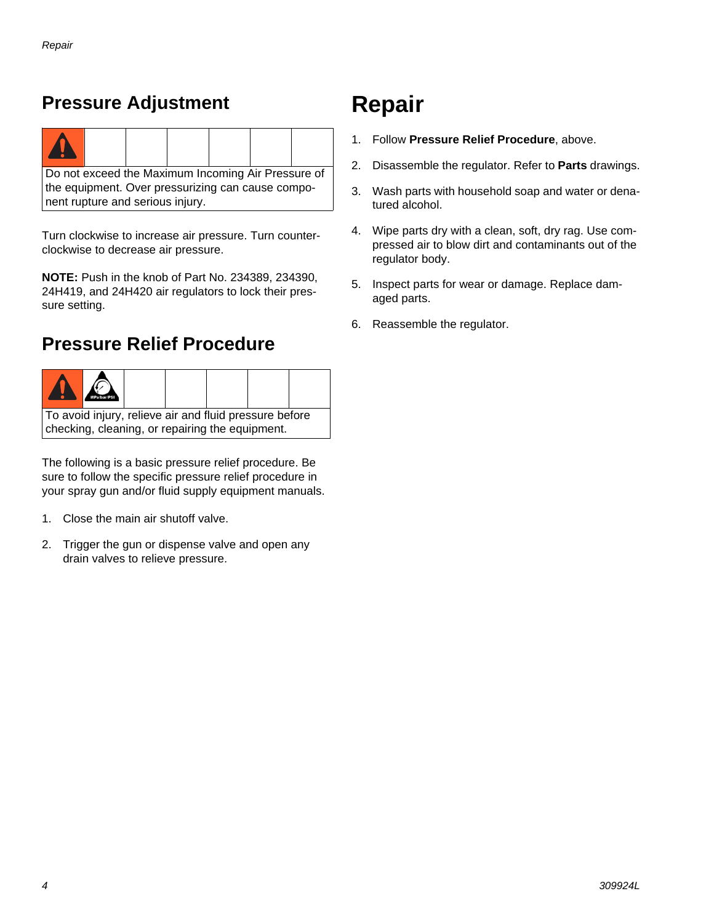#### **Pressure Adjustment**

nent rupture and serious injury.

| Do not exceed the Maximum Incoming Air Pressure of |  |  |  |  |  |  |
|----------------------------------------------------|--|--|--|--|--|--|
| the equipment. Over pressurizing can cause compo-  |  |  |  |  |  |  |

Turn clockwise to increase air pressure. Turn counterclockwise to decrease air pressure.

**NOTE:** Push in the knob of Part No. 234389, 234390, 24H419, and 24H420 air regulators to lock their pressure setting.

#### <span id="page-3-0"></span>**Pressure Relief Procedure**



The following is a basic pressure relief procedure. Be sure to follow the specific pressure relief procedure in your spray gun and/or fluid supply equipment manuals.

- 1. Close the main air shutoff valve.
- 2. Trigger the gun or dispense valve and open any drain valves to relieve pressure.

# **Repair**

- 1. Follow **[Pressure Relief Procedure](#page-3-0)**, above.
- 2. Disassemble the regulator. Refer to **[Parts](#page-4-0)** drawings.
- 3. Wash parts with household soap and water or denatured alcohol.
- 4. Wipe parts dry with a clean, soft, dry rag. Use compressed air to blow dirt and contaminants out of the regulator body.
- 5. Inspect parts for wear or damage. Replace damaged parts.
- 6. Reassemble the regulator.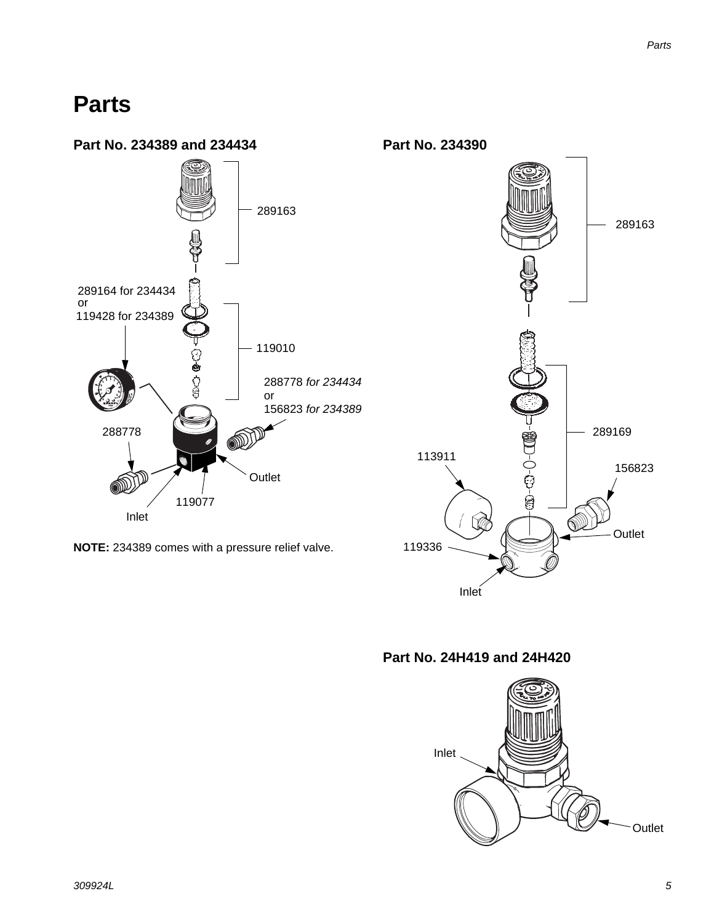### <span id="page-4-0"></span>**Parts**



**Part No. 24H419 and 24H420**

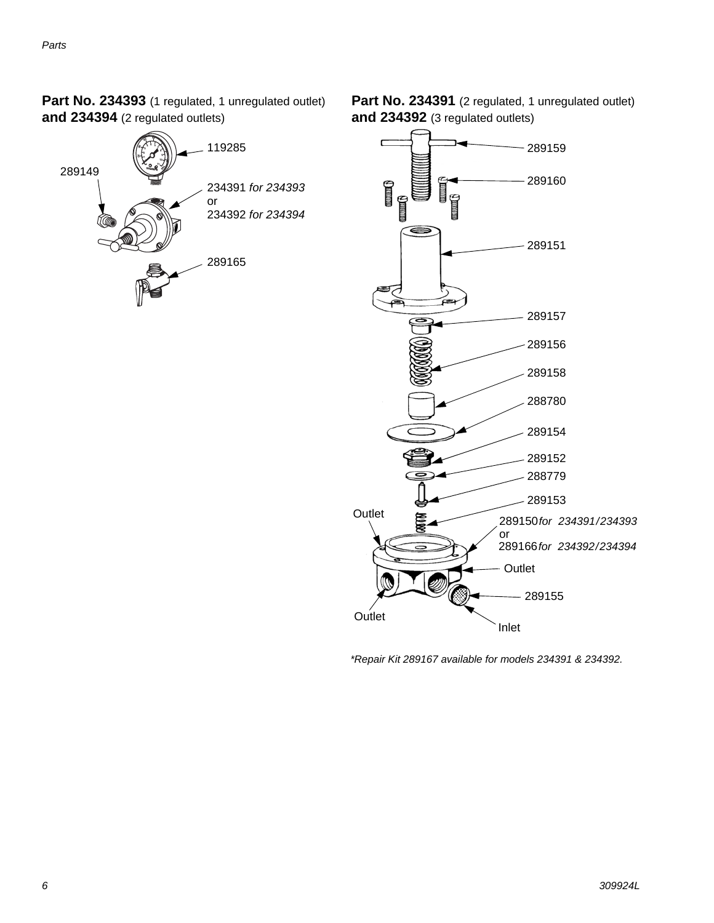Part No. 234393 (1 regulated, 1 unregulated outlet) **and 234394** (2 regulated outlets)



Part No. 234391 (2 regulated, 1 unregulated outlet) **and 234392** (3 regulated outlets)



*\*Repair Kit 289167 available for models 234391 & 234392.*